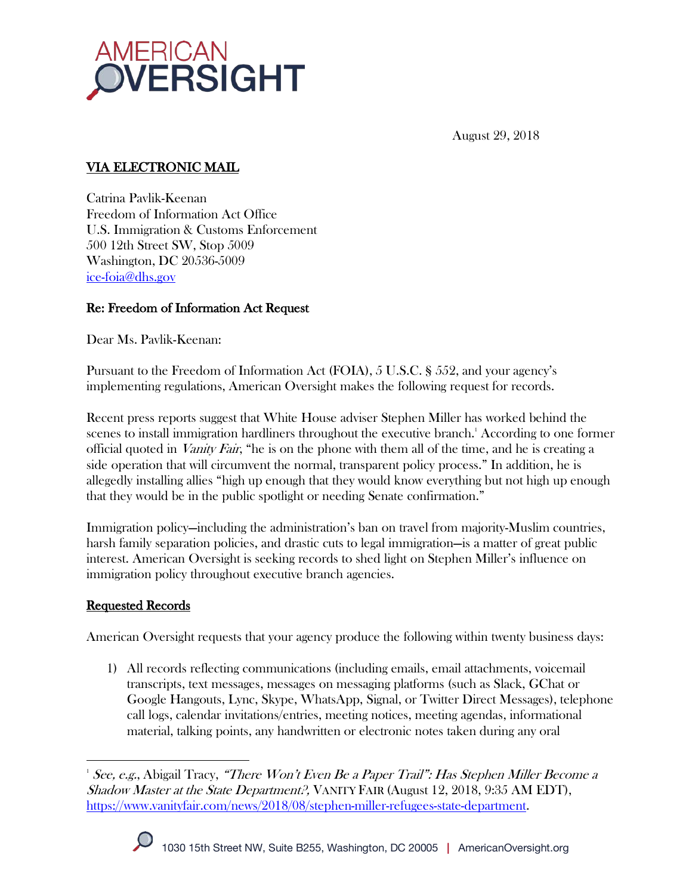

August 29, 2018

### VIA ELECTRONIC MAIL

Catrina Pavlik-Keenan Freedom of Information Act Office U.S. Immigration & Customs Enforcement 500 12th Street SW, Stop 5009 Washington, DC 20536-5009 ice-foia@dhs.gov

### Re: Freedom of Information Act Request

Dear Ms. Pavlik-Keenan:

Pursuant to the Freedom of Information Act (FOIA), 5 U.S.C. § 552, and your agency's implementing regulations, American Oversight makes the following request for records.

Recent press reports suggest that White House adviser Stephen Miller has worked behind the scenes to install immigration hardliners throughout the executive branch.<sup>1</sup> According to one former official quoted in *Vanity Fair*, "he is on the phone with them all of the time, and he is creating a side operation that will circumvent the normal, transparent policy process." In addition, he is allegedly installing allies "high up enough that they would know everything but not high up enough that they would be in the public spotlight or needing Senate confirmation."

Immigration policy—including the administration's ban on travel from majority-Muslim countries, harsh family separation policies, and drastic cuts to legal immigration—is a matter of great public interest. American Oversight is seeking records to shed light on Stephen Miller's influence on immigration policy throughout executive branch agencies.

#### Requested Records

American Oversight requests that your agency produce the following within twenty business days:

1) All records reflecting communications (including emails, email attachments, voicemail transcripts, text messages, messages on messaging platforms (such as Slack, GChat or Google Hangouts, Lync, Skype, WhatsApp, Signal, or Twitter Direct Messages), telephone call logs, calendar invitations/entries, meeting notices, meeting agendas, informational material, talking points, any handwritten or electronic notes taken during any oral

 <sup>1</sup> See, e.g., Abigail Tracy, "There Won't Even Be a Paper Trail": Has Stephen Miller Become a Shadow Master at the State Department?, VANITY FAIR (August 12, 2018, 9:35 AM EDT), https://www.vanityfair.com/news/2018/08/stephen-miller-refugees-state-department.

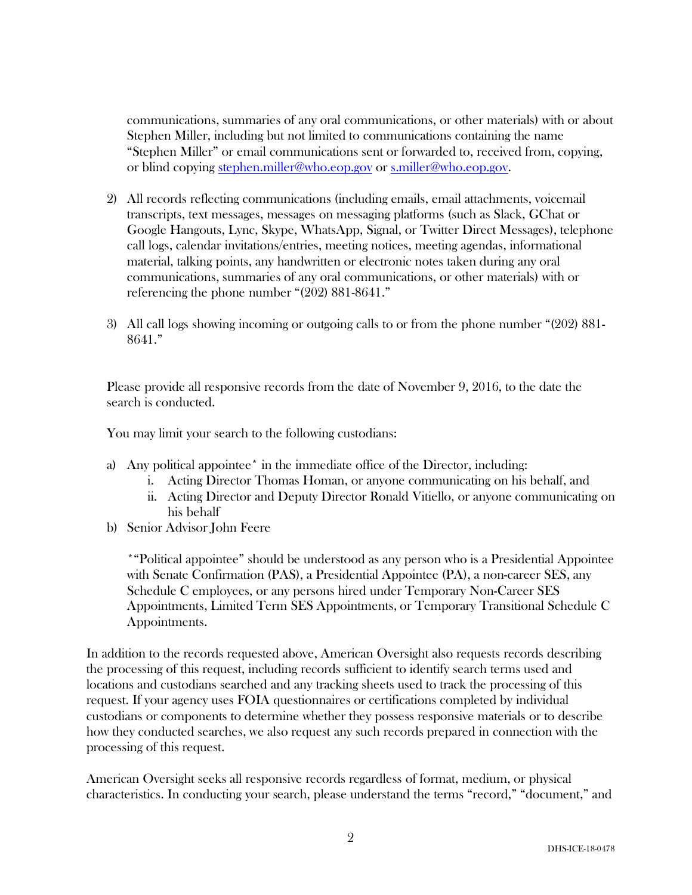communications, summaries of any oral communications, or other materials) with or about Stephen Miller, including but not limited to communications containing the name "Stephen Miller" or email communications sent or forwarded to, received from, copying, or blind copying stephen.miller@who.eop.gov or s.miller@who.eop.gov.

- 2) All records reflecting communications (including emails, email attachments, voicemail transcripts, text messages, messages on messaging platforms (such as Slack, GChat or Google Hangouts, Lync, Skype, WhatsApp, Signal, or Twitter Direct Messages), telephone call logs, calendar invitations/entries, meeting notices, meeting agendas, informational material, talking points, any handwritten or electronic notes taken during any oral communications, summaries of any oral communications, or other materials) with or referencing the phone number "(202) 881-8641."
- 3) All call logs showing incoming or outgoing calls to or from the phone number "(202) 881- 8641."

Please provide all responsive records from the date of November 9, 2016, to the date the search is conducted.

You may limit your search to the following custodians:

- a) Any political appointee\* in the immediate office of the Director, including:
	- i. Acting Director Thomas Homan, or anyone communicating on his behalf, and
	- ii. Acting Director and Deputy Director Ronald Vitiello, or anyone communicating on his behalf
- b) Senior Advisor John Feere

\*"Political appointee" should be understood as any person who is a Presidential Appointee with Senate Confirmation (PAS), a Presidential Appointee (PA), a non-career SES, any Schedule C employees, or any persons hired under Temporary Non-Career SES Appointments, Limited Term SES Appointments, or Temporary Transitional Schedule C Appointments.

In addition to the records requested above, American Oversight also requests records describing the processing of this request, including records sufficient to identify search terms used and locations and custodians searched and any tracking sheets used to track the processing of this request. If your agency uses FOIA questionnaires or certifications completed by individual custodians or components to determine whether they possess responsive materials or to describe how they conducted searches, we also request any such records prepared in connection with the processing of this request.

American Oversight seeks all responsive records regardless of format, medium, or physical characteristics. In conducting your search, please understand the terms "record," "document," and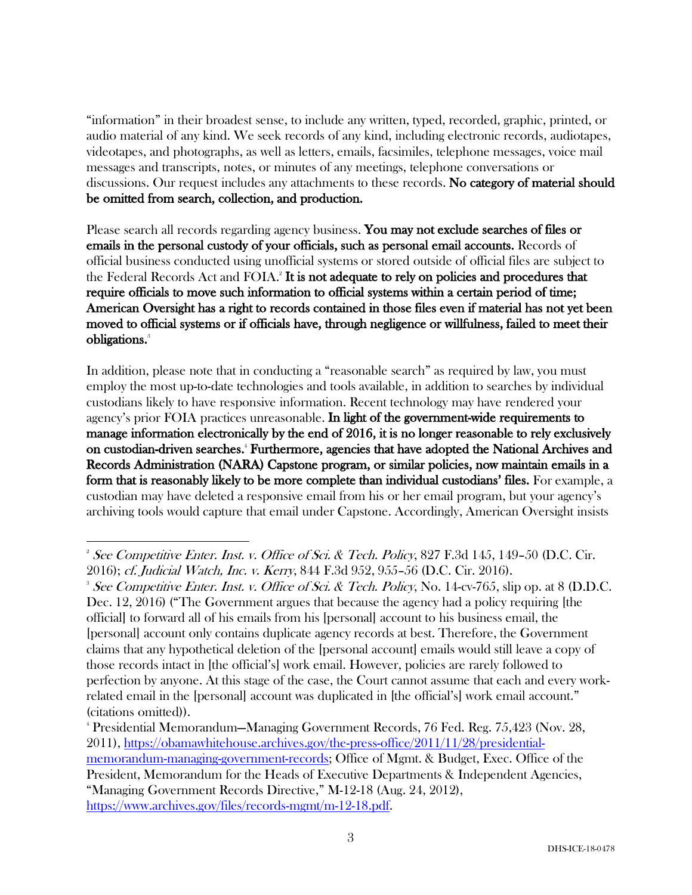"information" in their broadest sense, to include any written, typed, recorded, graphic, printed, or audio material of any kind. We seek records of any kind, including electronic records, audiotapes, videotapes, and photographs, as well as letters, emails, facsimiles, telephone messages, voice mail messages and transcripts, notes, or minutes of any meetings, telephone conversations or discussions. Our request includes any attachments to these records. No category of material should be omitted from search, collection, and production.

Please search all records regarding agency business. You may not exclude searches of files or emails in the personal custody of your officials, such as personal email accounts. Records of official business conducted using unofficial systems or stored outside of official files are subject to the Federal Records Act and FOIA.<sup>2</sup> It is not adequate to rely on policies and procedures that require officials to move such information to official systems within a certain period of time; American Oversight has a right to records contained in those files even if material has not yet been moved to official systems or if officials have, through negligence or willfulness, failed to meet their obligations. 3

In addition, please note that in conducting a "reasonable search" as required by law, you must employ the most up-to-date technologies and tools available, in addition to searches by individual custodians likely to have responsive information. Recent technology may have rendered your agency's prior FOIA practices unreasonable. In light of the government-wide requirements to manage information electronically by the end of 2016, it is no longer reasonable to rely exclusively on custodian-driven searches. <sup>4</sup> Furthermore, agencies that have adopted the National Archives and Records Administration (NARA) Capstone program, or similar policies, now maintain emails in a form that is reasonably likely to be more complete than individual custodians' files. For example, a custodian may have deleted a responsive email from his or her email program, but your agency's archiving tools would capture that email under Capstone. Accordingly, American Oversight insists

4 Presidential Memorandum—Managing Government Records, 76 Fed. Reg. 75,423 (Nov. 28, 2011), https://obamawhitehouse.archives.gov/the-press-office/2011/11/28/presidentialmemorandum-managing-government-records; Office of Mgmt. & Budget, Exec. Office of the President, Memorandum for the Heads of Executive Departments & Independent Agencies, "Managing Government Records Directive," M-12-18 (Aug. 24, 2012), https://www.archives.gov/files/records-mgmt/m-12-18.pdf.

 <sup>2</sup> See Competitive Enter. Inst. v. Office of Sci. & Tech. Policy, 827 F.3d 145, 149–50 (D.C. Cir. 2016); cf. Judicial Watch, Inc. v. Kerry, 844 F.3d 952, 955–56 (D.C. Cir. 2016). 3

<sup>&</sup>lt;sup>3</sup> See Competitive Enter. Inst. v. Office of Sci. & Tech. Policy, No. 14-cv-765, slip op. at 8 (D.D.C. Dec. 12, 2016) ("The Government argues that because the agency had a policy requiring [the official] to forward all of his emails from his [personal] account to his business email, the [personal] account only contains duplicate agency records at best. Therefore, the Government claims that any hypothetical deletion of the [personal account] emails would still leave a copy of those records intact in [the official's] work email. However, policies are rarely followed to perfection by anyone. At this stage of the case, the Court cannot assume that each and every workrelated email in the [personal] account was duplicated in [the official's] work email account." (citations omitted)).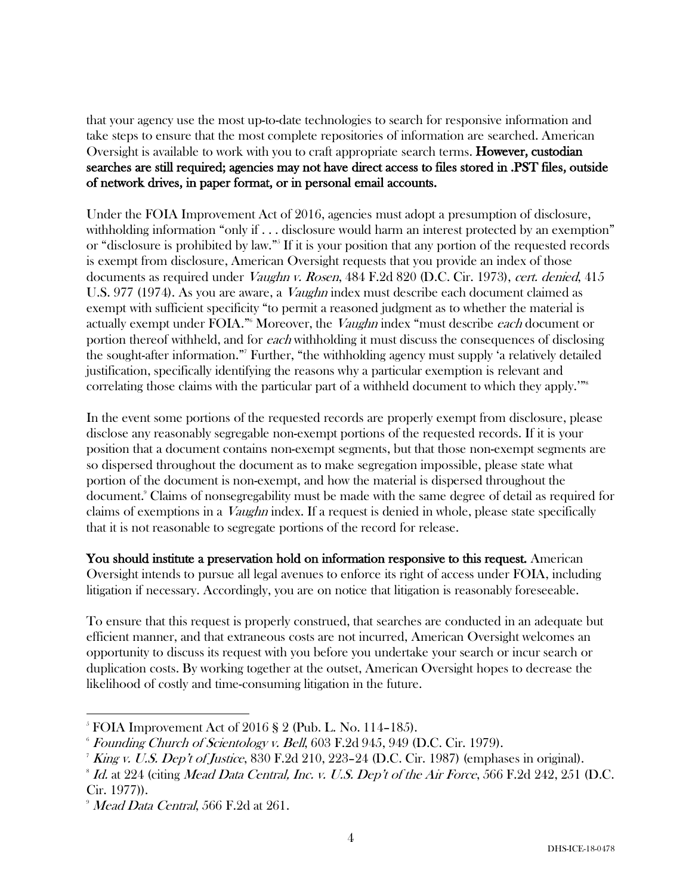that your agency use the most up-to-date technologies to search for responsive information and take steps to ensure that the most complete repositories of information are searched. American Oversight is available to work with you to craft appropriate search terms. **However, custodian** searches are still required; agencies may not have direct access to files stored in .PST files, outside of network drives, in paper format, or in personal email accounts.

Under the FOIA Improvement Act of 2016, agencies must adopt a presumption of disclosure, withholding information "only if . . . disclosure would harm an interest protected by an exemption" or "disclosure is prohibited by law."5 If it is your position that any portion of the requested records is exempt from disclosure, American Oversight requests that you provide an index of those documents as required under Vaughn v. Rosen, 484 F.2d 820 (D.C. Cir. 1973), cert. denied, 415 U.S. 977 (1974). As you are aware, a Vaughn index must describe each document claimed as exempt with sufficient specificity "to permit a reasoned judgment as to whether the material is actually exempt under FOIA."<sup>6</sup> Moreover, the *Vaughn* index "must describe *each* document or portion thereof withheld, and for each withholding it must discuss the consequences of disclosing the sought-after information."7 Further, "the withholding agency must supply 'a relatively detailed justification, specifically identifying the reasons why a particular exemption is relevant and correlating those claims with the particular part of a withheld document to which they apply.'"<sup>8</sup>

In the event some portions of the requested records are properly exempt from disclosure, please disclose any reasonably segregable non-exempt portions of the requested records. If it is your position that a document contains non-exempt segments, but that those non-exempt segments are so dispersed throughout the document as to make segregation impossible, please state what portion of the document is non-exempt, and how the material is dispersed throughout the document.9 Claims of nonsegregability must be made with the same degree of detail as required for claims of exemptions in a Vaughn index. If a request is denied in whole, please state specifically that it is not reasonable to segregate portions of the record for release.

You should institute a preservation hold on information responsive to this request. American Oversight intends to pursue all legal avenues to enforce its right of access under FOIA, including litigation if necessary. Accordingly, you are on notice that litigation is reasonably foreseeable.

To ensure that this request is properly construed, that searches are conducted in an adequate but efficient manner, and that extraneous costs are not incurred, American Oversight welcomes an opportunity to discuss its request with you before you undertake your search or incur search or duplication costs. By working together at the outset, American Oversight hopes to decrease the likelihood of costly and time-consuming litigation in the future.

 <sup>5</sup> FOIA Improvement Act of 2016 § 2 (Pub. L. No. 114–185).

 $6$  Founding Church of Scientology v. Bell, 603 F.2d 945, 949 (D.C. Cir. 1979).

*King v. U.S. Dep't of Justice*, 830 F.2d 210, 223-24 (D.C. Cir. 1987) (emphases in original).

 $\delta$  Id. at 224 (citing Mead Data Central, Inc. v. U.S. Dep't of the Air Force, 566 F.2d 242, 251 (D.C. Cir. 1977)).

<sup>&</sup>lt;sup>9</sup> Mead Data Central, 566 F.2d at 261.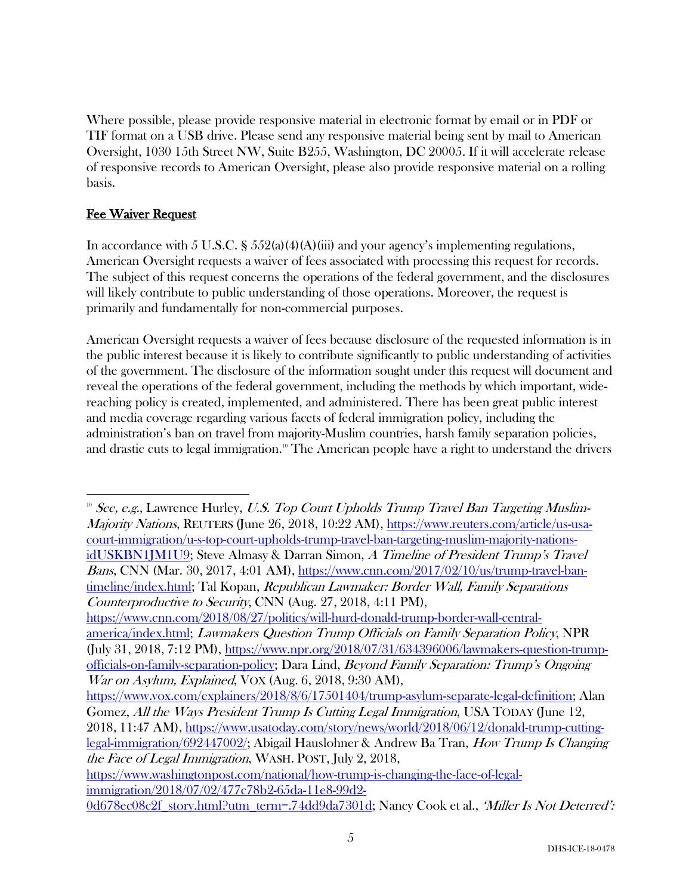Where possible, please provide responsive material in electronic format by email or in PDF or TIF format on a USB drive. Please send any responsive material being sent by mail to American Oversight, 1030 15th Street NW, Suite B255, Washington, DC 20005. If it will accelerate release of responsive records to American Oversight, please also provide responsive material on a rolling basis.

# Fee Waiver Request

In accordance with 5 U.S.C. §  $552(a)(4)(A)(iii)$  and your agency's implementing regulations, American Oversight requests a waiver of fees associated with processing this request for records. The subject of this request concerns the operations of the federal government, and the disclosures will likely contribute to public understanding of those operations. Moreover, the request is primarily and fundamentally for non-commercial purposes.

American Oversight requests a waiver of fees because disclosure of the requested information is in the public interest because it is likely to contribute significantly to public understanding of activities of the government. The disclosure of the information sought under this request will document and reveal the operations of the federal government, including the methods by which important, widereaching policy is created, implemented, and administered. There has been great public interest and media coverage regarding various facets of federal immigration policy, including the administration's ban on travel from majority-Muslim countries, harsh family separation policies, and drastic cuts to legal immigration.<sup>10</sup> The American people have a right to understand the drivers

https://www.cnn.com/2018/08/27/politics/will-hurd-donald-trump-border-wall-centralamerica/index.html; Lawmakers Question Trump Officials on Family Separation Policy, NPR (July 31, 2018, 7:12 PM), https://www.npr.org/2018/07/31/634396006/lawmakers-question-trumpofficials-on-family-separation-policy; Dara Lind, Beyond Family Separation: Trump's Ongoing War on Asylum, Explained, VOX (Aug. 6, 2018, 9:30 AM),

https://www.vox.com/explainers/2018/8/6/17501404/trump-asylum-separate-legal-definition; Alan Gomez, All the Ways President Trump Is Cutting Legal Immigration, USA TODAY (June 12, 2018, 11:47 AM), https://www.usatoday.com/story/news/world/2018/06/12/donald-trump-cuttinglegal-immigration/692447002/; Abigail Hauslohner & Andrew Ba Tran, How Trump Is Changing the Face of Legal Immigration, WASH. POST, July 2, 2018,

<sup>&</sup>lt;sup>10</sup> See, e.g., Lawrence Hurley, U.S. Top Court Upholds Trump Travel Ban Targeting Muslim-Majority Nations, REUTERS (June 26, 2018, 10:22 AM), https://www.reuters.com/article/us-usacourt-immigration/u-s-top-court-upholds-trump-travel-ban-targeting-muslim-majority-nationsidUSKBN1JM1U9; Steve Almasy & Darran Simon, A Timeline of President Trump's Travel Bans, CNN (Mar. 30, 2017, 4:01 AM), https://www.cnn.com/2017/02/10/us/trump-travel-bantimeline/index.html; Tal Kopan, Republican Lawmaker: Border Wall, Family Separations Counterproductive to Security, CNN (Aug. 27, 2018, 4:11 PM),

https://www.washingtonpost.com/national/how-trump-is-changing-the-face-of-legalimmigration/2018/07/02/477c78b2-65da-11e8-99d2-

<sup>0</sup>d678ec08c2f\_story.html?utm\_term=.74dd9da7301d; Nancy Cook et al., 'Miller Is Not Deterred':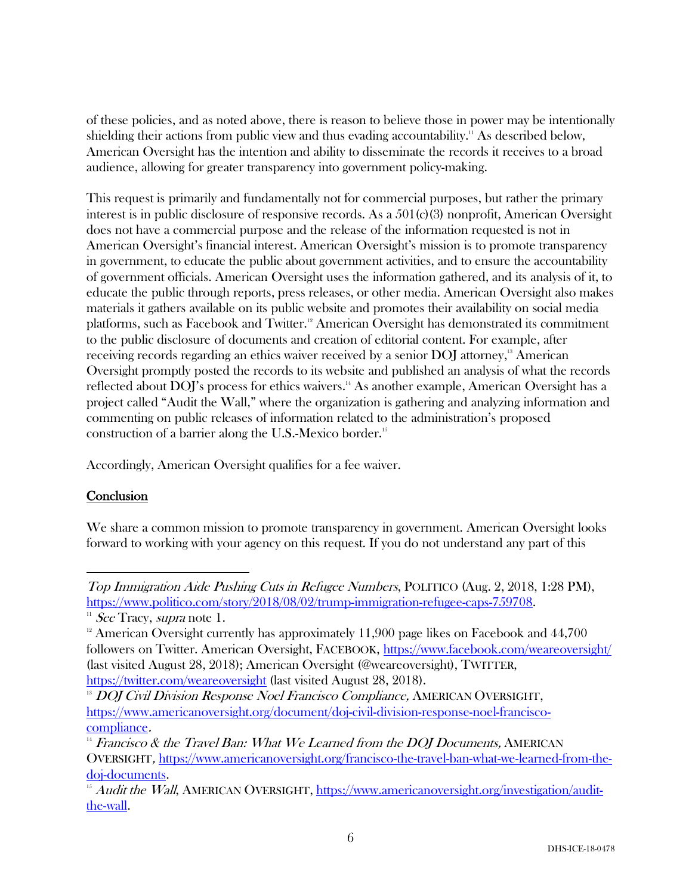of these policies, and as noted above, there is reason to believe those in power may be intentionally shielding their actions from public view and thus evading accountability.<sup>11</sup> As described below, American Oversight has the intention and ability to disseminate the records it receives to a broad audience, allowing for greater transparency into government policy-making.

This request is primarily and fundamentally not for commercial purposes, but rather the primary interest is in public disclosure of responsive records. As a 501(c)(3) nonprofit, American Oversight does not have a commercial purpose and the release of the information requested is not in American Oversight's financial interest. American Oversight's mission is to promote transparency in government, to educate the public about government activities, and to ensure the accountability of government officials. American Oversight uses the information gathered, and its analysis of it, to educate the public through reports, press releases, or other media. American Oversight also makes materials it gathers available on its public website and promotes their availability on social media platforms, such as Facebook and Twitter.<sup>12</sup> American Oversight has demonstrated its commitment to the public disclosure of documents and creation of editorial content. For example, after receiving records regarding an ethics waiver received by a senior DOJ attorney,<sup>13</sup> American Oversight promptly posted the records to its website and published an analysis of what the records reflected about DOJ's process for ethics waivers.<sup>14</sup> As another example, American Oversight has a project called "Audit the Wall," where the organization is gathering and analyzing information and commenting on public releases of information related to the administration's proposed construction of a barrier along the U.S.-Mexico border.<sup>15</sup>

Accordingly, American Oversight qualifies for a fee waiver.

# **Conclusion**

We share a common mission to promote transparency in government. American Oversight looks forward to working with your agency on this request. If you do not understand any part of this

 Top Immigration Aide Pushing Cuts in Refugee Numbers, POLITICO (Aug. 2, 2018, 1:28 PM), https://www.politico.com/story/2018/08/02/trump-immigration-refugee-caps-759708.<br>
<sup>11</sup> See Tracy, *supra* note 1.

 $12$  American Oversight currently has approximately 11,900 page likes on Facebook and 44,700 followers on Twitter. American Oversight, FACEBOOK, https://www.facebook.com/weareoversight/ (last visited August 28, 2018); American Oversight (@weareoversight), TWITTER, https://twitter.com/weareoversight (last visited August 28, 2018).

<sup>&</sup>lt;sup>13</sup> DOJ Civil Division Response Noel Francisco Compliance, AMERICAN OVERSIGHT, https://www.americanoversight.org/document/doj-civil-division-response-noel-franciscocompliance.

 $14$  Francisco & the Travel Ban: What We Learned from the DOJ Documents, AMERICAN OVERSIGHT, https://www.americanoversight.org/francisco-the-travel-ban-what-we-learned-from-thedoj-documents.

 $15$  Audit the Wall, AMERICAN OVERSIGHT, https://www.americanoversight.org/investigation/auditthe-wall.